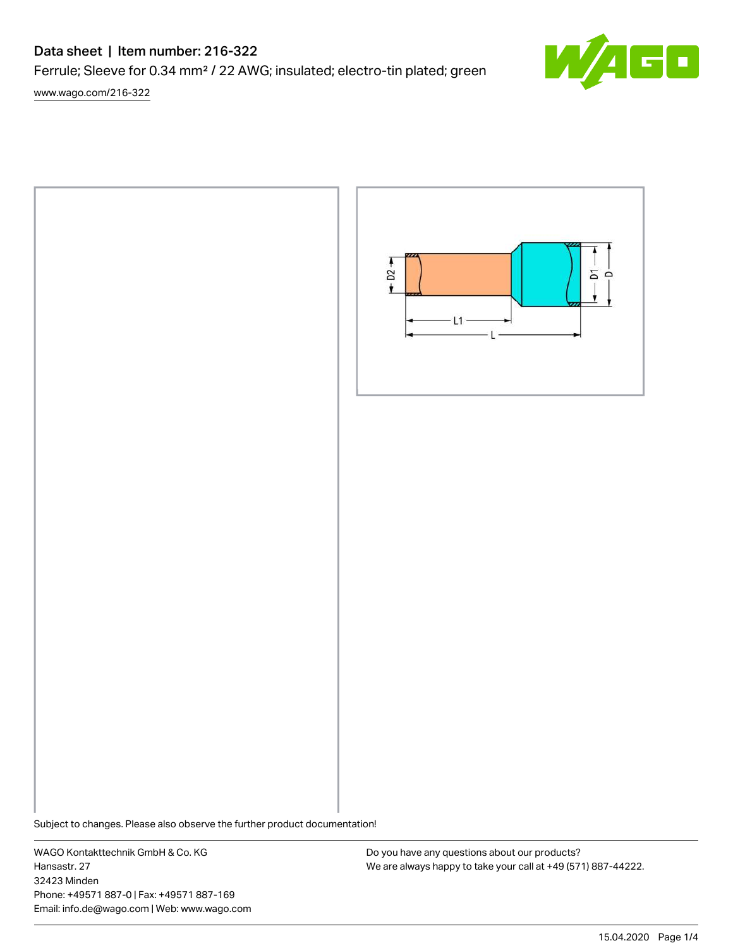# Data sheet | Item number: 216-322

Ferrule; Sleeve for 0.34 mm² / 22 AWG; insulated; electro-tin plated; green

[www.wago.com/216-322](http://www.wago.com/216-322)



Subject to changes. Please also observe the further product documentation!

WAGO Kontakttechnik GmbH & Co. KG Hansastr. 27 32423 Minden Phone: +49571 887-0 | Fax: +49571 887-169 Email: info.de@wago.com | Web: www.wago.com

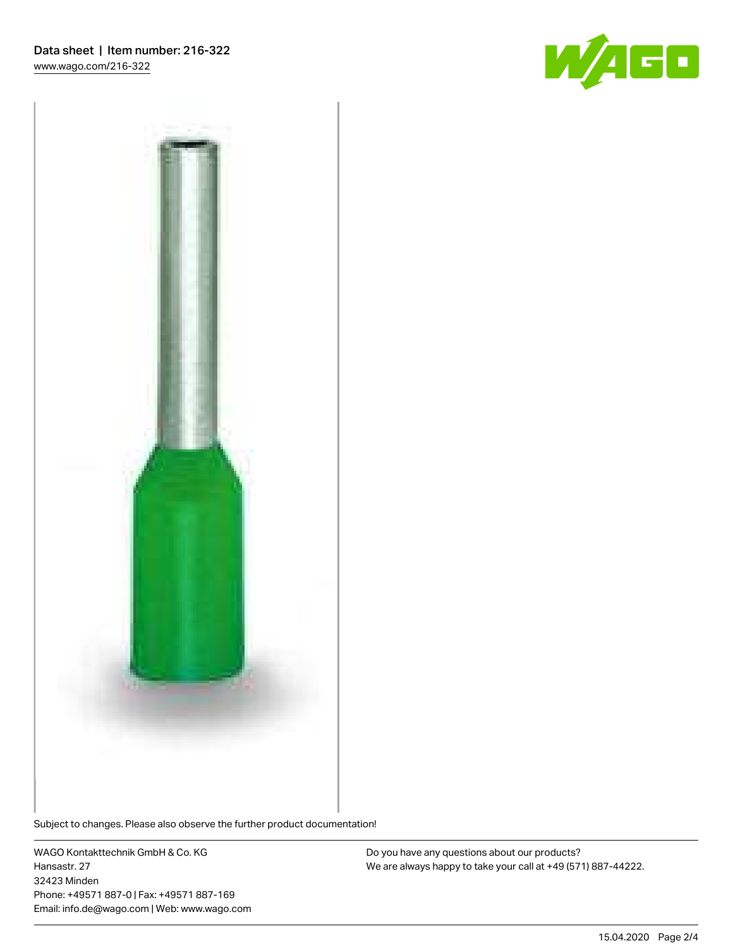



Subject to changes. Please also observe the further product documentation!

WAGO Kontakttechnik GmbH & Co. KG Hansastr. 27 32423 Minden Phone: +49571 887-0 | Fax: +49571 887-169 Email: info.de@wago.com | Web: www.wago.com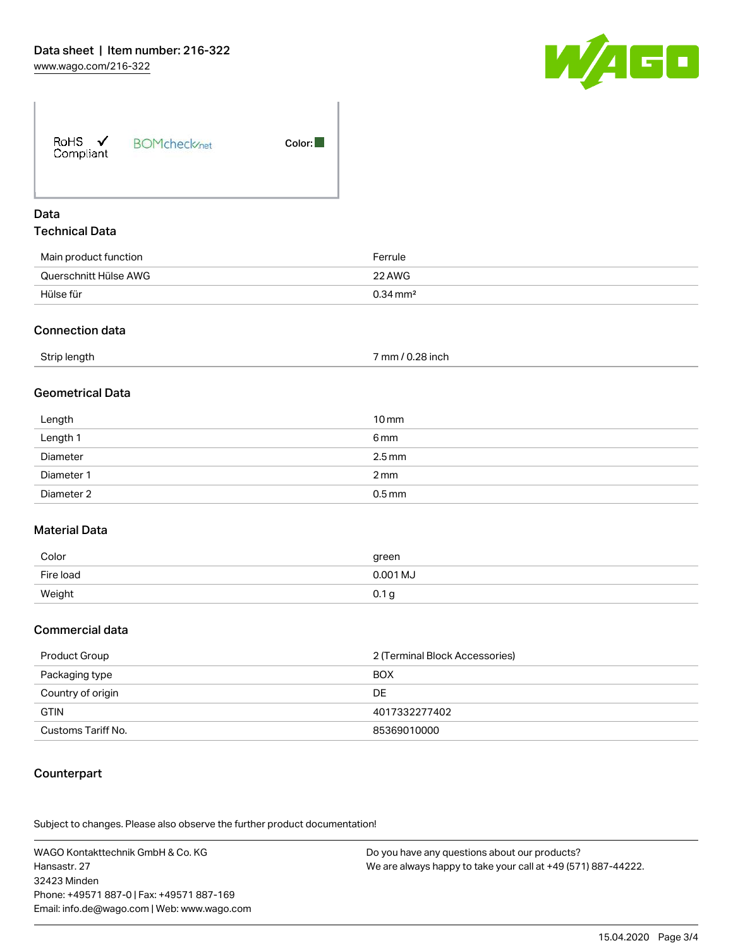

### Data Technical Data

| Main product function | Ferrule                |
|-----------------------|------------------------|
| Querschnitt Hülse AWG | 22 AWG                 |
| Hülse für             | $0.34 \,\mathrm{mm}^2$ |

#### Connection data

| Strip length<br>7 mm / 0.28 inch |  |
|----------------------------------|--|
|----------------------------------|--|

### Geometrical Data

| Length     | $10 \,\mathrm{mm}$  |
|------------|---------------------|
| Length 1   | 6 mm                |
| Diameter   | $2.5 \,\mathrm{mm}$ |
| Diameter 1 | $2 \text{ mm}$      |
| Diameter 2 | $0.5$ mm            |

### Material Data

| Color     | green            |
|-----------|------------------|
| Fire load | 0.001 MJ         |
| Weight    | 0.1 <sub>g</sub> |

#### Commercial data

| Product Group      | 2 (Terminal Block Accessories) |  |
|--------------------|--------------------------------|--|
| Packaging type     | <b>BOX</b>                     |  |
| Country of origin  | DE                             |  |
| <b>GTIN</b>        | 4017332277402                  |  |
| Customs Tariff No. | 85369010000                    |  |

### **Counterpart**

.<br>Subject to changes. Please also observe the further product documentation!

WAGO Kontakttechnik GmbH & Co. KG Hansastr. 27 32423 Minden Phone: +49571 887-0 | Fax: +49571 887-169 Email: info.de@wago.com | Web: www.wago.com